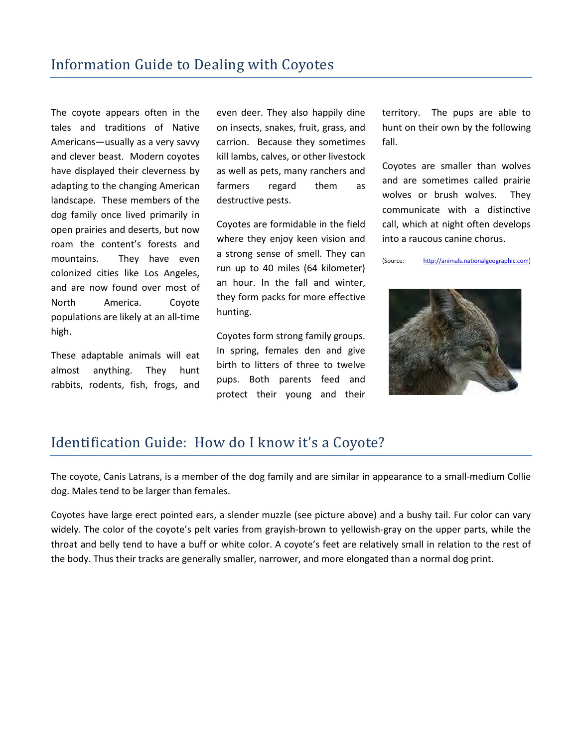The coyote appears often in the tales and traditions of Native Americans—usually as a very savvy and clever beast. Modern coyotes have displayed their cleverness by adapting to the changing American landscape. These members of the dog family once lived primarily in open prairies and deserts, but now roam the content's forests and mountains. They have even colonized cities like Los Angeles, and are now found over most of North America. Coyote populations are likely at an all-time high.

These adaptable animals will eat almost anything. They hunt rabbits, rodents, fish, frogs, and even deer. They also happily dine on insects, snakes, fruit, grass, and carrion. Because they sometimes kill lambs, calves, or other livestock as well as pets, many ranchers and farmers regard them as destructive pests.

Coyotes are formidable in the field where they enjoy keen vision and a strong sense of smell. They can run up to 40 miles (64 kilometer) an hour. In the fall and winter, they form packs for more effective hunting.

Coyotes form strong family groups. In spring, females den and give birth to litters of three to twelve pups. Both parents feed and protect their young and their territory. The pups are able to hunt on their own by the following fall.

Coyotes are smaller than wolves and are sometimes called prairie wolves or brush wolves. They communicate with a distinctive call, which at night often develops into a raucous canine chorus.

(Source: [http://animals.nationalgeographic.com\)](http://animals.nationalgeographic.com/)



## Identification Guide: How do I know it's a Coyote?

The coyote, Canis Latrans, is a member of the dog family and are similar in appearance to a small-medium Collie dog. Males tend to be larger than females.

Coyotes have large erect pointed ears, a slender muzzle (see picture above) and a bushy tail. Fur color can vary widely. The color of the coyote's pelt varies from grayish-brown to yellowish-gray on the upper parts, while the throat and belly tend to have a buff or white color. A coyote's feet are relatively small in relation to the rest of the body. Thus their tracks are generally smaller, narrower, and more elongated than a normal dog print.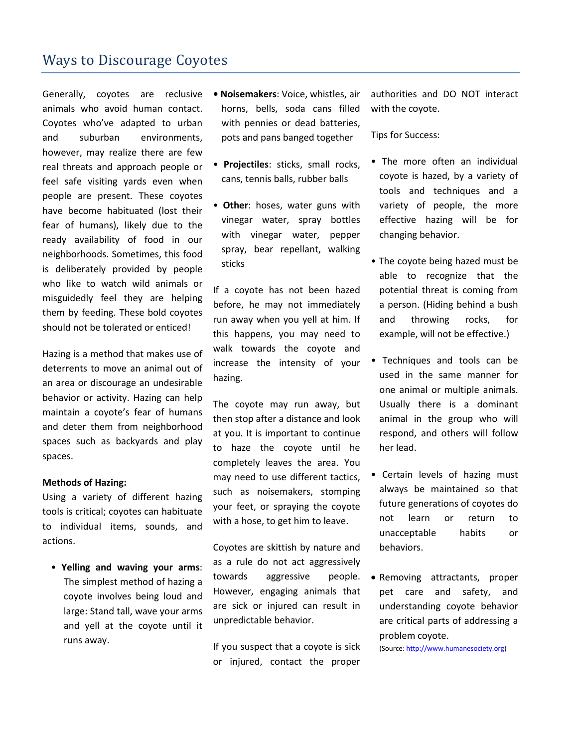### Ways to Discourage Coyotes

Generally, coyotes are reclusive animals who avoid human contact. Coyotes who've adapted to urban and suburban environments, however, may realize there are few real threats and approach people or feel safe visiting yards even when people are present. These coyotes have become habituated (lost their fear of humans), likely due to the ready availability of food in our neighborhoods. Sometimes, this food is deliberately provided by people who like to watch wild animals or misguidedly feel they are helping them by feeding. These bold coyotes should not be tolerated or enticed!

Hazing is a method that makes use of deterrents to move an animal out of an area or discourage an undesirable behavior or activity. Hazing can help maintain a coyote's fear of humans and deter them from neighborhood spaces such as backyards and play spaces.

#### **Methods of Hazing:**

Using a variety of different hazing tools is critical; coyotes can habituate to individual items, sounds, and actions.

• **Yelling and waving your arms**: The simplest method of hazing a coyote involves being loud and large: Stand tall, wave your arms and yell at the coyote until it runs away.

- **Noisemakers**: Voice, whistles, air horns, bells, soda cans filled with pennies or dead batteries, pots and pans banged together
- **Projectiles**: sticks, small rocks, cans, tennis balls, rubber balls
- **Other**: hoses, water guns with vinegar water, spray bottles with vinegar water, pepper spray, bear repellant, walking sticks

If a coyote has not been hazed before, he may not immediately run away when you yell at him. If this happens, you may need to walk towards the coyote and increase the intensity of your hazing.

The coyote may run away, but then stop after a distance and look at you. It is important to continue to haze the coyote until he completely leaves the area. You may need to use different tactics, such as noisemakers, stomping your feet, or spraying the coyote with a hose, to get him to leave.

Coyotes are skittish by nature and as a rule do not act aggressively towards aggressive people. However, engaging animals that are sick or injured can result in unpredictable behavior.

If you suspect that a coyote is sick or injured, contact the proper authorities and DO NOT interact with the coyote.

#### Tips for Success:

- The more often an individual coyote is hazed, by a variety of tools and techniques and a variety of people, the more effective hazing will be for changing behavior.
- The coyote being hazed must be able to recognize that the potential threat is coming from a person. (Hiding behind a bush and throwing rocks, for example, will not be effective.)
- Techniques and tools can be used in the same manner for one animal or multiple animals. Usually there is a dominant animal in the group who will respond, and others will follow her lead.
- Certain levels of hazing must always be maintained so that future generations of coyotes do not learn or return to unacceptable habits or behaviors.
- Removing attractants, proper pet care and safety, and understanding coyote behavior are critical parts of addressing a problem coyote.

(Source[: http://www.humanesociety.org\)](http://www.humanesociety.org/)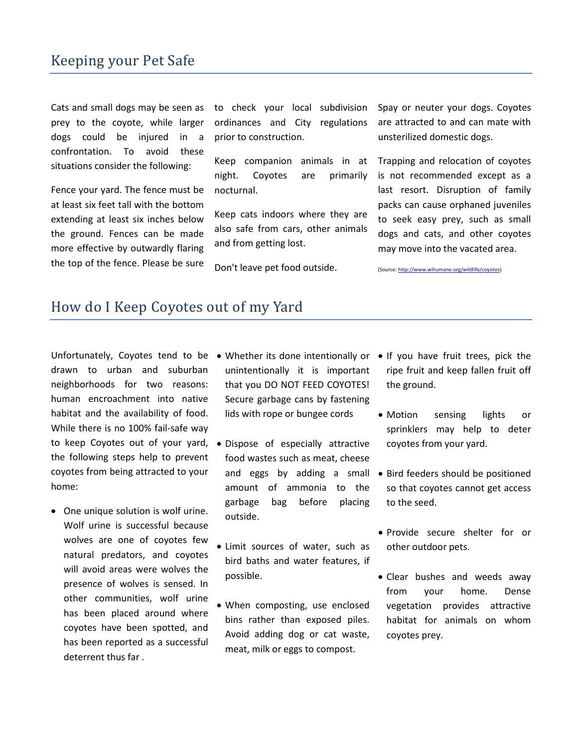### Keeping your Pet Safe

Cats and small dogs may be seen as prey to the coyote, while larger dogs could be injured in a confrontation. To avoid these situations consider the following:

Fence your yard. The fence must be at least six feet tall with the bottom extending at least six inches below the ground. Fences can be made more effective by outwardly flaring the top of the fence. Please be sure

to check your local subdivision ordinances and City regulations prior to construction.

Keep companion animals in at night. Coyotes are primarily nocturnal.

Keep cats indoors where they are also safe from cars, other animals and from getting lost.

Don't leave pet food outside.

Spay or neuter your dogs. Coyotes are attracted to and can mate with unsterilized domestic dogs.

Trapping and relocation of coyotes is not recommended except as a last resort. Disruption of family packs can cause orphaned juveniles to seek easy prey, such as small dogs and cats, and other coyotes may move into the vacated area.

(Source[: http://www.wihumane.org/wildlife/coyotes\)](http://www.wihumane.org/wildlife/coyotes)

#### How do I Keep Coyotes out of my Yard

Unfortunately, Coyotes tend to be • Whether its done intentionally or • If you have fruit trees, pick the drawn to urban and suburban neighborhoods for two reasons: human encroachment into native habitat and the availability of food. While there is no 100% fail-safe way to keep Coyotes out of your yard, the following steps help to prevent coyotes from being attracted to your home:

• One unique solution is wolf urine. Wolf urine is successful because wolves are one of coyotes few natural predators, and coyotes will avoid areas were wolves the presence of wolves is sensed. In other communities, wolf urine has been placed around where coyotes have been spotted, and has been reported as a successful deterrent thus far .

- unintentionally it is important that you DO NOT FEED COYOTES! Secure garbage cans by fastening lids with rope or bungee cords
- Dispose of especially attractive food wastes such as meat, cheese amount of ammonia to the garbage bag before placing outside.
- Limit sources of water, such as bird baths and water features, if possible.
- When composting, use enclosed bins rather than exposed piles. Avoid adding dog or cat waste, meat, milk or eggs to compost.
- ripe fruit and keep fallen fruit off the ground.
- Motion sensing lights or sprinklers may help to deter coyotes from your yard.
- and eggs by adding a small Bird feeders should be positioned so that coyotes cannot get access to the seed.
	- Provide secure shelter for or other outdoor pets.
	- Clear bushes and weeds away from your home. Dense vegetation provides attractive habitat for animals on whom coyotes prey.